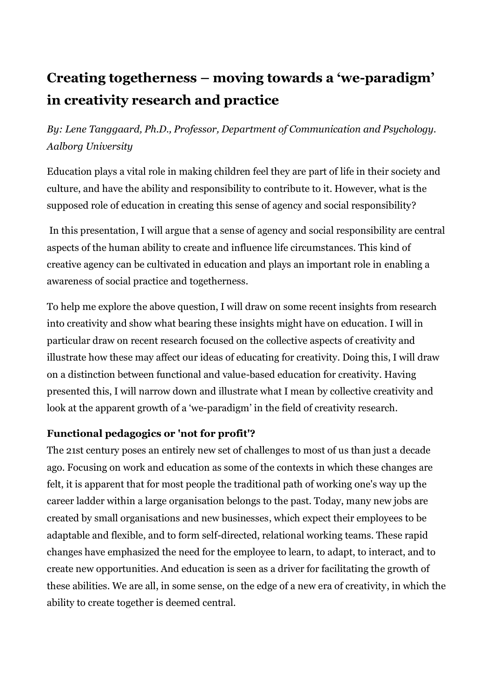# **Creating togetherness – moving towards a 'we-paradigm' in creativity research and practice**

*By: Lene Tanggaard, Ph.D., Professor, Department of Communication and Psychology. Aalborg University*

Education plays a vital role in making children feel they are part of life in their society and culture, and have the ability and responsibility to contribute to it. However, what is the supposed role of education in creating this sense of agency and social responsibility?

In this presentation, I will argue that a sense of agency and social responsibility are central aspects of the human ability to create and influence life circumstances. This kind of creative agency can be cultivated in education and plays an important role in enabling a awareness of social practice and togetherness.

To help me explore the above question, I will draw on some recent insights from research into creativity and show what bearing these insights might have on education. I will in particular draw on recent research focused on the collective aspects of creativity and illustrate how these may affect our ideas of educating for creativity. Doing this, I will draw on a distinction between functional and value-based education for creativity. Having presented this, I will narrow down and illustrate what I mean by collective creativity and look at the apparent growth of a 'we-paradigm' in the field of creativity research.

# **Functional pedagogics or 'not for profit'?**

The 21st century poses an entirely new set of challenges to most of us than just a decade ago. Focusing on work and education as some of the contexts in which these changes are felt, it is apparent that for most people the traditional path of working one's way up the career ladder within a large organisation belongs to the past. Today, many new jobs are created by small organisations and new businesses, which expect their employees to be adaptable and flexible, and to form self-directed, relational working teams. These rapid changes have emphasized the need for the employee to learn, to adapt, to interact, and to create new opportunities. And education is seen as a driver for facilitating the growth of these abilities. We are all, in some sense, on the edge of a new era of creativity, in which the ability to create together is deemed central.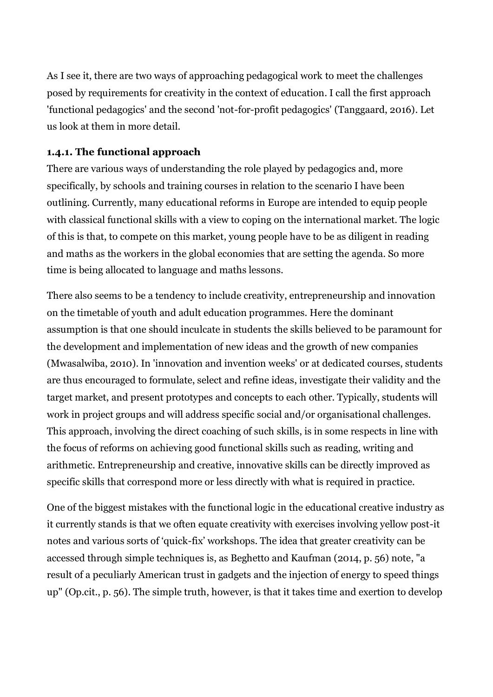As I see it, there are two ways of approaching pedagogical work to meet the challenges posed by requirements for creativity in the context of education. I call the first approach 'functional pedagogics' and the second 'not-for-profit pedagogics' (Tanggaard, 2016). Let us look at them in more detail.

# **1.4.1. The functional approach**

There are various ways of understanding the role played by pedagogics and, more specifically, by schools and training courses in relation to the scenario I have been outlining. Currently, many educational reforms in Europe are intended to equip people with classical functional skills with a view to coping on the international market. The logic of this is that, to compete on this market, young people have to be as diligent in reading and maths as the workers in the global economies that are setting the agenda. So more time is being allocated to language and maths lessons.

There also seems to be a tendency to include creativity, entrepreneurship and innovation on the timetable of youth and adult education programmes. Here the dominant assumption is that one should inculcate in students the skills believed to be paramount for the development and implementation of new ideas and the growth of new companies (Mwasalwiba, 2010). In 'innovation and invention weeks' or at dedicated courses, students are thus encouraged to formulate, select and refine ideas, investigate their validity and the target market, and present prototypes and concepts to each other. Typically, students will work in project groups and will address specific social and/or organisational challenges. This approach, involving the direct coaching of such skills, is in some respects in line with the focus of reforms on achieving good functional skills such as reading, writing and arithmetic. Entrepreneurship and creative, innovative skills can be directly improved as specific skills that correspond more or less directly with what is required in practice.

One of the biggest mistakes with the functional logic in the educational creative industry as it currently stands is that we often equate creativity with exercises involving yellow post-it notes and various sorts of 'quick-fix' workshops. The idea that greater creativity can be accessed through simple techniques is, as Beghetto and Kaufman (2014, p. 56) note, "a result of a peculiarly American trust in gadgets and the injection of energy to speed things up" (Op.cit., p. 56). The simple truth, however, is that it takes time and exertion to develop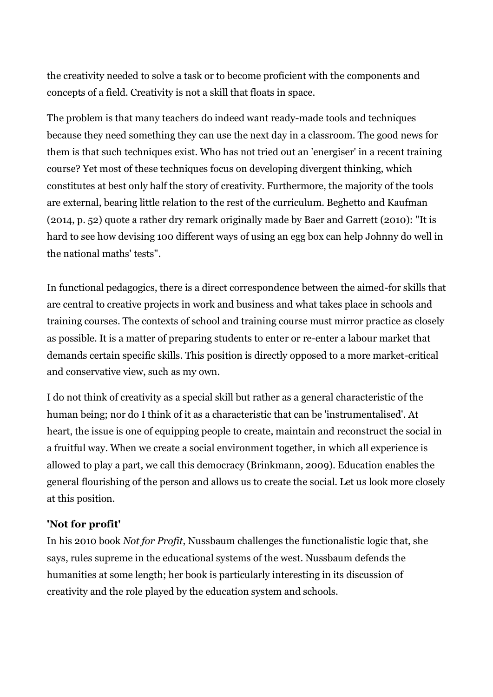the creativity needed to solve a task or to become proficient with the components and concepts of a field. Creativity is not a skill that floats in space.

The problem is that many teachers do indeed want ready-made tools and techniques because they need something they can use the next day in a classroom. The good news for them is that such techniques exist. Who has not tried out an 'energiser' in a recent training course? Yet most of these techniques focus on developing divergent thinking, which constitutes at best only half the story of creativity. Furthermore, the majority of the tools are external, bearing little relation to the rest of the curriculum. Beghetto and Kaufman (2014, p. 52) quote a rather dry remark originally made by Baer and Garrett (2010): "It is hard to see how devising 100 different ways of using an egg box can help Johnny do well in the national maths' tests".

In functional pedagogics, there is a direct correspondence between the aimed-for skills that are central to creative projects in work and business and what takes place in schools and training courses. The contexts of school and training course must mirror practice as closely as possible. It is a matter of preparing students to enter or re-enter a labour market that demands certain specific skills. This position is directly opposed to a more market-critical and conservative view, such as my own.

I do not think of creativity as a special skill but rather as a general characteristic of the human being; nor do I think of it as a characteristic that can be 'instrumentalised'. At heart, the issue is one of equipping people to create, maintain and reconstruct the social in a fruitful way. When we create a social environment together, in which all experience is allowed to play a part, we call this democracy (Brinkmann, 2009). Education enables the general flourishing of the person and allows us to create the social. Let us look more closely at this position.

#### **'Not for profit'**

In his 2010 book *Not for Profit*, Nussbaum challenges the functionalistic logic that, she says, rules supreme in the educational systems of the west. Nussbaum defends the humanities at some length; her book is particularly interesting in its discussion of creativity and the role played by the education system and schools.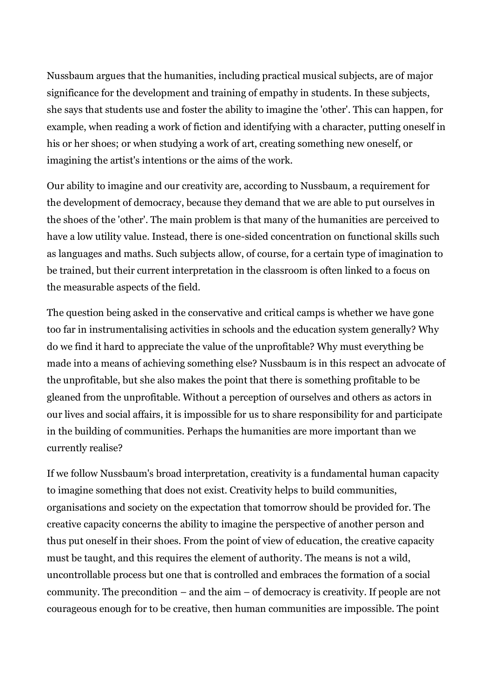Nussbaum argues that the humanities, including practical musical subjects, are of major significance for the development and training of empathy in students. In these subjects, she says that students use and foster the ability to imagine the 'other'. This can happen, for example, when reading a work of fiction and identifying with a character, putting oneself in his or her shoes; or when studying a work of art, creating something new oneself, or imagining the artist's intentions or the aims of the work.

Our ability to imagine and our creativity are, according to Nussbaum, a requirement for the development of democracy, because they demand that we are able to put ourselves in the shoes of the 'other'. The main problem is that many of the humanities are perceived to have a low utility value. Instead, there is one-sided concentration on functional skills such as languages and maths. Such subjects allow, of course, for a certain type of imagination to be trained, but their current interpretation in the classroom is often linked to a focus on the measurable aspects of the field.

The question being asked in the conservative and critical camps is whether we have gone too far in instrumentalising activities in schools and the education system generally? Why do we find it hard to appreciate the value of the unprofitable? Why must everything be made into a means of achieving something else? Nussbaum is in this respect an advocate of the unprofitable, but she also makes the point that there is something profitable to be gleaned from the unprofitable. Without a perception of ourselves and others as actors in our lives and social affairs, it is impossible for us to share responsibility for and participate in the building of communities. Perhaps the humanities are more important than we currently realise?

If we follow Nussbaum's broad interpretation, creativity is a fundamental human capacity to imagine something that does not exist. Creativity helps to build communities, organisations and society on the expectation that tomorrow should be provided for. The creative capacity concerns the ability to imagine the perspective of another person and thus put oneself in their shoes. From the point of view of education, the creative capacity must be taught, and this requires the element of authority. The means is not a wild, uncontrollable process but one that is controlled and embraces the formation of a social community. The precondition – and the aim – of democracy is creativity. If people are not courageous enough for to be creative, then human communities are impossible. The point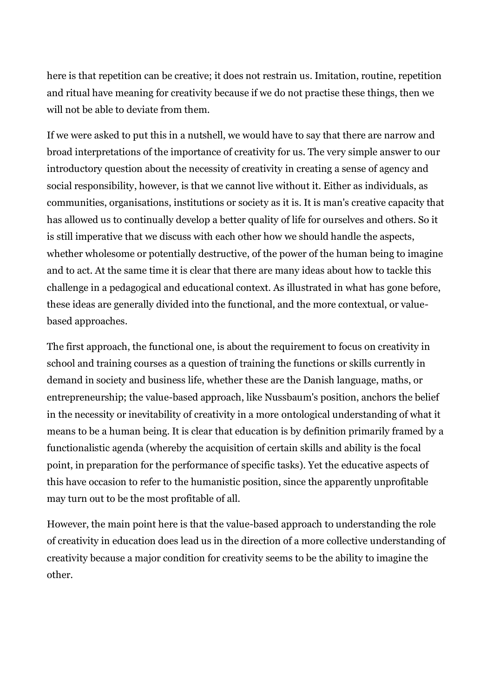here is that repetition can be creative; it does not restrain us. Imitation, routine, repetition and ritual have meaning for creativity because if we do not practise these things, then we will not be able to deviate from them.

If we were asked to put this in a nutshell, we would have to say that there are narrow and broad interpretations of the importance of creativity for us. The very simple answer to our introductory question about the necessity of creativity in creating a sense of agency and social responsibility, however, is that we cannot live without it. Either as individuals, as communities, organisations, institutions or society as it is. It is man's creative capacity that has allowed us to continually develop a better quality of life for ourselves and others. So it is still imperative that we discuss with each other how we should handle the aspects, whether wholesome or potentially destructive, of the power of the human being to imagine and to act. At the same time it is clear that there are many ideas about how to tackle this challenge in a pedagogical and educational context. As illustrated in what has gone before, these ideas are generally divided into the functional, and the more contextual, or valuebased approaches.

The first approach, the functional one, is about the requirement to focus on creativity in school and training courses as a question of training the functions or skills currently in demand in society and business life, whether these are the Danish language, maths, or entrepreneurship; the value-based approach, like Nussbaum's position, anchors the belief in the necessity or inevitability of creativity in a more ontological understanding of what it means to be a human being. It is clear that education is by definition primarily framed by a functionalistic agenda (whereby the acquisition of certain skills and ability is the focal point, in preparation for the performance of specific tasks). Yet the educative aspects of this have occasion to refer to the humanistic position, since the apparently unprofitable may turn out to be the most profitable of all.

However, the main point here is that the value-based approach to understanding the role of creativity in education does lead us in the direction of a more collective understanding of creativity because a major condition for creativity seems to be the ability to imagine the other.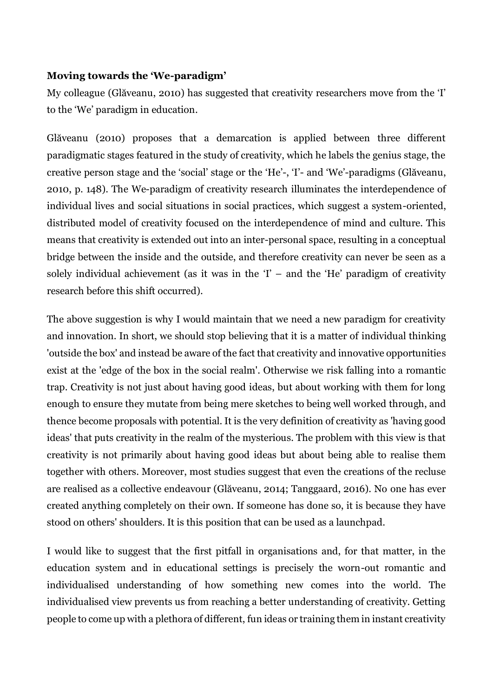# **Moving towards the 'We-paradigm'**

My colleague (Glăveanu, 2010) has suggested that creativity researchers move from the 'I' to the 'We' paradigm in education.

Glăveanu (2010) proposes that a demarcation is applied between three different paradigmatic stages featured in the study of creativity, which he labels the genius stage, the creative person stage and the 'social' stage or the 'He'-, 'I'- and 'We'-paradigms (Glăveanu, 2010, p. 148). The We-paradigm of creativity research illuminates the interdependence of individual lives and social situations in social practices, which suggest a system-oriented, distributed model of creativity focused on the interdependence of mind and culture. This means that creativity is extended out into an inter-personal space, resulting in a conceptual bridge between the inside and the outside, and therefore creativity can never be seen as a solely individual achievement (as it was in the  $I'$  – and the 'He' paradigm of creativity research before this shift occurred).

The above suggestion is why I would maintain that we need a new paradigm for creativity and innovation. In short, we should stop believing that it is a matter of individual thinking 'outside the box' and instead be aware of the fact that creativity and innovative opportunities exist at the 'edge of the box in the social realm'. Otherwise we risk falling into a romantic trap. Creativity is not just about having good ideas, but about working with them for long enough to ensure they mutate from being mere sketches to being well worked through, and thence become proposals with potential. It is the very definition of creativity as 'having good ideas' that puts creativity in the realm of the mysterious. The problem with this view is that creativity is not primarily about having good ideas but about being able to realise them together with others. Moreover, most studies suggest that even the creations of the recluse are realised as a collective endeavour (Glăveanu, 2014; Tanggaard, 2016). No one has ever created anything completely on their own. If someone has done so, it is because they have stood on others' shoulders. It is this position that can be used as a launchpad.

I would like to suggest that the first pitfall in organisations and, for that matter, in the education system and in educational settings is precisely the worn-out romantic and individualised understanding of how something new comes into the world. The individualised view prevents us from reaching a better understanding of creativity. Getting people to come up with a plethora of different, fun ideas or training them in instant creativity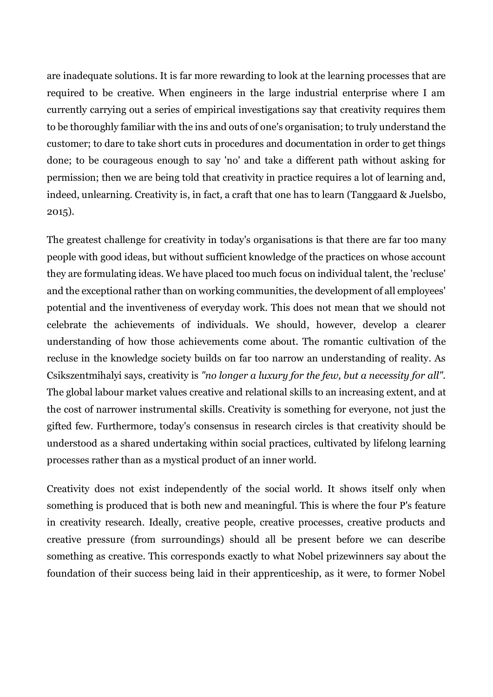are inadequate solutions. It is far more rewarding to look at the learning processes that are required to be creative. When engineers in the large industrial enterprise where I am currently carrying out a series of empirical investigations say that creativity requires them to be thoroughly familiar with the ins and outs of one's organisation; to truly understand the customer; to dare to take short cuts in procedures and documentation in order to get things done; to be courageous enough to say 'no' and take a different path without asking for permission; then we are being told that creativity in practice requires a lot of learning and, indeed, unlearning. Creativity is, in fact, a craft that one has to learn (Tanggaard & Juelsbo, 2015).

The greatest challenge for creativity in today's organisations is that there are far too many people with good ideas, but without sufficient knowledge of the practices on whose account they are formulating ideas. We have placed too much focus on individual talent, the 'recluse' and the exceptional rather than on working communities, the development of all employees' potential and the inventiveness of everyday work. This does not mean that we should not celebrate the achievements of individuals. We should, however, develop a clearer understanding of how those achievements come about. The romantic cultivation of the recluse in the knowledge society builds on far too narrow an understanding of reality. As Csikszentmihalyi says, creativity is *"no longer a luxury for the few, but a necessity for all".*  The global labour market values creative and relational skills to an increasing extent, and at the cost of narrower instrumental skills. Creativity is something for everyone, not just the gifted few. Furthermore, today's consensus in research circles is that creativity should be understood as a shared undertaking within social practices, cultivated by lifelong learning processes rather than as a mystical product of an inner world.

Creativity does not exist independently of the social world. It shows itself only when something is produced that is both new and meaningful. This is where the four P's feature in creativity research. Ideally, creative people, creative processes, creative products and creative pressure (from surroundings) should all be present before we can describe something as creative. This corresponds exactly to what Nobel prizewinners say about the foundation of their success being laid in their apprenticeship, as it were, to former Nobel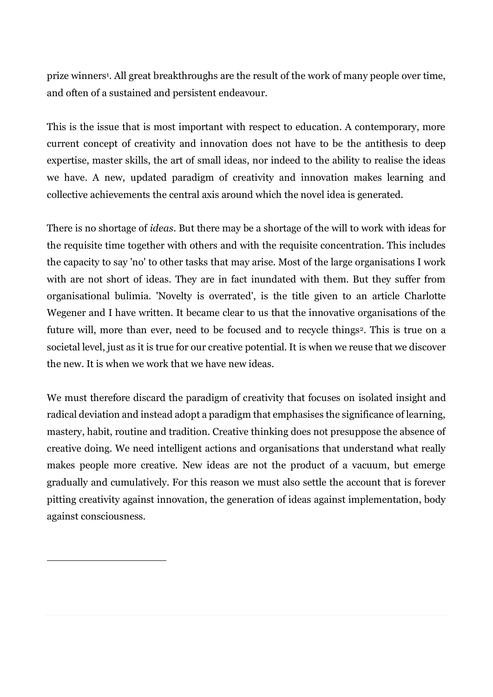prize winners<sup>1</sup>. All great breakthroughs are the result of the work of many people over time, and often of a sustained and persistent endeavour.

This is the issue that is most important with respect to education. A contemporary, more current concept of creativity and innovation does not have to be the antithesis to deep expertise, master skills, the art of small ideas, nor indeed to the ability to realise the ideas we have. A new, updated paradigm of creativity and innovation makes learning and collective achievements the central axis around which the novel idea is generated.

There is no shortage of *ideas*. But there may be a shortage of the will to work with ideas for the requisite time together with others and with the requisite concentration. This includes the capacity to say 'no' to other tasks that may arise. Most of the large organisations I work with are not short of ideas. They are in fact inundated with them. But they suffer from organisational bulimia. 'Novelty is overrated', is the title given to an article Charlotte Wegener and I have written. It became clear to us that the innovative organisations of the future will, more than ever, need to be focused and to recycle things<sup>2</sup>. This is true on a societal level, just as it is true for our creative potential. It is when we reuse that we discover the new. It is when we work that we have new ideas.

We must therefore discard the paradigm of creativity that focuses on isolated insight and radical deviation and instead adopt a paradigm that emphasises the significance of learning, mastery, habit, routine and tradition. Creative thinking does not presuppose the absence of creative doing. We need intelligent actions and organisations that understand what really makes people more creative. New ideas are not the product of a vacuum, but emerge gradually and cumulatively. For this reason we must also settle the account that is forever pitting creativity against innovation, the generation of ideas against implementation, body against consciousness.

1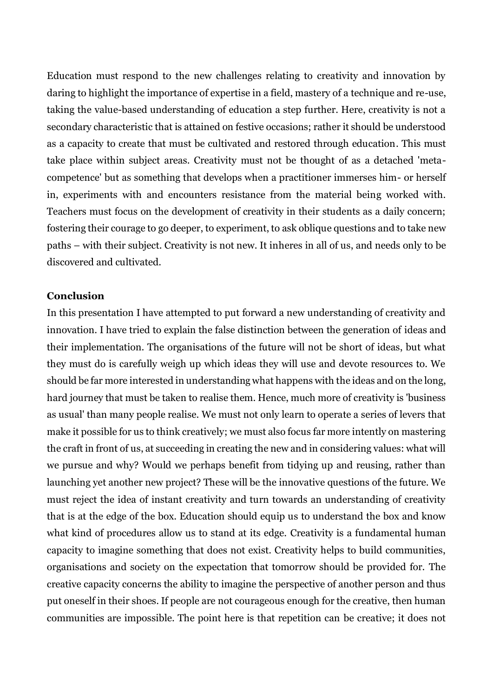Education must respond to the new challenges relating to creativity and innovation by daring to highlight the importance of expertise in a field, mastery of a technique and re-use, taking the value-based understanding of education a step further. Here, creativity is not a secondary characteristic that is attained on festive occasions; rather it should be understood as a capacity to create that must be cultivated and restored through education. This must take place within subject areas. Creativity must not be thought of as a detached 'metacompetence' but as something that develops when a practitioner immerses him- or herself in, experiments with and encounters resistance from the material being worked with. Teachers must focus on the development of creativity in their students as a daily concern; fostering their courage to go deeper, to experiment, to ask oblique questions and to take new paths – with their subject. Creativity is not new. It inheres in all of us, and needs only to be discovered and cultivated.

#### **Conclusion**

In this presentation I have attempted to put forward a new understanding of creativity and innovation. I have tried to explain the false distinction between the generation of ideas and their implementation. The organisations of the future will not be short of ideas, but what they must do is carefully weigh up which ideas they will use and devote resources to. We should be far more interested in understanding what happens with the ideas and on the long, hard journey that must be taken to realise them. Hence, much more of creativity is 'business as usual' than many people realise. We must not only learn to operate a series of levers that make it possible for us to think creatively; we must also focus far more intently on mastering the craft in front of us, at succeeding in creating the new and in considering values: what will we pursue and why? Would we perhaps benefit from tidying up and reusing, rather than launching yet another new project? These will be the innovative questions of the future. We must reject the idea of instant creativity and turn towards an understanding of creativity that is at the edge of the box. Education should equip us to understand the box and know what kind of procedures allow us to stand at its edge. Creativity is a fundamental human capacity to imagine something that does not exist. Creativity helps to build communities, organisations and society on the expectation that tomorrow should be provided for. The creative capacity concerns the ability to imagine the perspective of another person and thus put oneself in their shoes. If people are not courageous enough for the creative, then human communities are impossible. The point here is that repetition can be creative; it does not